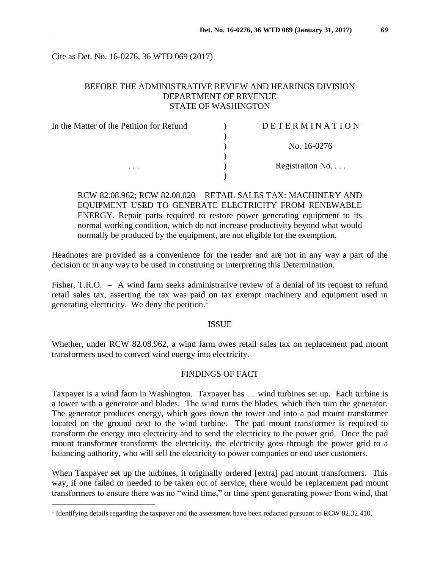Cite as Det. No. 16-0276, 36 WTD 069 (2017)

### BEFORE THE ADMINISTRATIVE REVIEW AND HEARINGS DIVISION DEPARTMENT OF REVENUE STATE OF WASHINGTON

| In the Matter of the Petition for Refund | DETERMINATION            |
|------------------------------------------|--------------------------|
|                                          |                          |
|                                          | No. 16-0276              |
|                                          |                          |
| $\cdots$                                 | Registration No. $\dots$ |
|                                          |                          |

RCW 82.08.962; RCW 82.08.020 – RETAIL SALES TAX: MACHINERY AND EQUIPMENT USED TO GENERATE ELECTRICITY FROM RENEWABLE ENERGY. Repair parts required to restore power generating equipment to its normal working condition, which do not increase productivity beyond what would normally be produced by the equipment, are not eligible for the exemption.

Headnotes are provided as a convenience for the reader and are not in any way a part of the decision or in any way to be used in construing or interpreting this Determination.

Fisher, T.R.O. – A wind farm seeks administrative review of a denial of its request to refund retail sales tax, asserting the tax was paid on tax exempt machinery and equipment used in generating electricity. We deny the petition. $<sup>1</sup>$ </sup>

### **ISSUE**

Whether, under RCW 82.08.962, a wind farm owes retail sales tax on replacement pad mount transformers used to convert wind energy into electricity.

# FINDINGS OF FACT

Taxpayer is a wind farm in Washington. Taxpayer has … wind turbines set up. Each turbine is a tower with a generator and blades. The wind turns the blades, which then turn the generator. The generator produces energy, which goes down the tower and into a pad mount transformer located on the ground next to the wind turbine. The pad mount transformer is required to transform the energy into electricity and to send the electricity to the power grid. Once the pad mount transformer transforms the electricity, the electricity goes through the power grid to a balancing authority, who will sell the electricity to power companies or end user customers.

When Taxpayer set up the turbines, it originally ordered [extra] pad mount transformers. This way, if one failed or needed to be taken out of service, there would be replacement pad mount transformers to ensure there was no "wind time," or time spent generating power from wind, that

 $\overline{a}$ 

<sup>&</sup>lt;sup>1</sup> Identifying details regarding the taxpayer and the assessment have been redacted pursuant to RCW 82.32.410.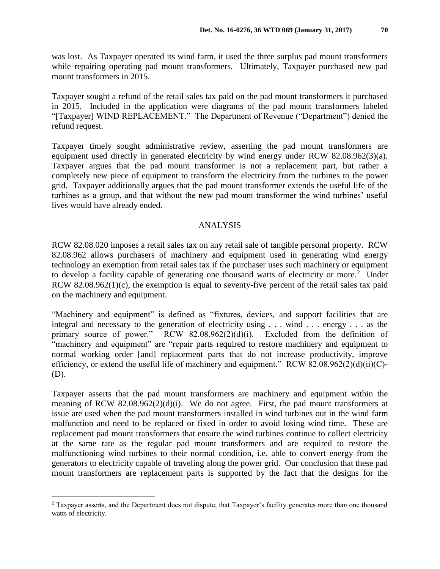was lost. As Taxpayer operated its wind farm, it used the three surplus pad mount transformers while repairing operating pad mount transformers. Ultimately, Taxpayer purchased new pad mount transformers in 2015.

Taxpayer sought a refund of the retail sales tax paid on the pad mount transformers it purchased in 2015. Included in the application were diagrams of the pad mount transformers labeled "[Taxpayer] WIND REPLACEMENT." The Department of Revenue ("Department") denied the refund request.

Taxpayer timely sought administrative review, asserting the pad mount transformers are equipment used directly in generated electricity by wind energy under RCW 82.08.962(3)(a). Taxpayer argues that the pad mount transformer is not a replacement part, but rather a completely new piece of equipment to transform the electricity from the turbines to the power grid. Taxpayer additionally argues that the pad mount transformer extends the useful life of the turbines as a group, and that without the new pad mount transformer the wind turbines' useful lives would have already ended.

# ANALYSIS

RCW 82.08.020 imposes a retail sales tax on any retail sale of tangible personal property. RCW 82.08.962 allows purchasers of machinery and equipment used in generating wind energy technology an exemption from retail sales tax if the purchaser uses such machinery or equipment to develop a facility capable of generating one thousand watts of electricity or more.<sup>2</sup> Under RCW 82.08.962(1)(c), the exemption is equal to seventy-five percent of the retail sales tax paid on the machinery and equipment.

"Machinery and equipment" is defined as "fixtures, devices, and support facilities that are integral and necessary to the generation of electricity using . . . wind . . . energy . . . as the primary source of power." RCW 82.08.962(2)(d)(i). Excluded from the definition of "machinery and equipment" are "repair parts required to restore machinery and equipment to normal working order [and] replacement parts that do not increase productivity, improve efficiency, or extend the useful life of machinery and equipment." RCW 82.08.962(2)(d)(ii)(C)-(D).

Taxpayer asserts that the pad mount transformers are machinery and equipment within the meaning of RCW 82.08.962(2)(d)(i). We do not agree. First, the pad mount transformers at issue are used when the pad mount transformers installed in wind turbines out in the wind farm malfunction and need to be replaced or fixed in order to avoid losing wind time. These are replacement pad mount transformers that ensure the wind turbines continue to collect electricity at the same rate as the regular pad mount transformers and are required to restore the malfunctioning wind turbines to their normal condition, i.e. able to convert energy from the generators to electricity capable of traveling along the power grid. Our conclusion that these pad mount transformers are replacement parts is supported by the fact that the designs for the

 $\overline{a}$ 

<sup>&</sup>lt;sup>2</sup> Taxpayer asserts, and the Department does not dispute, that Taxpayer's facility generates more than one thousand watts of electricity.